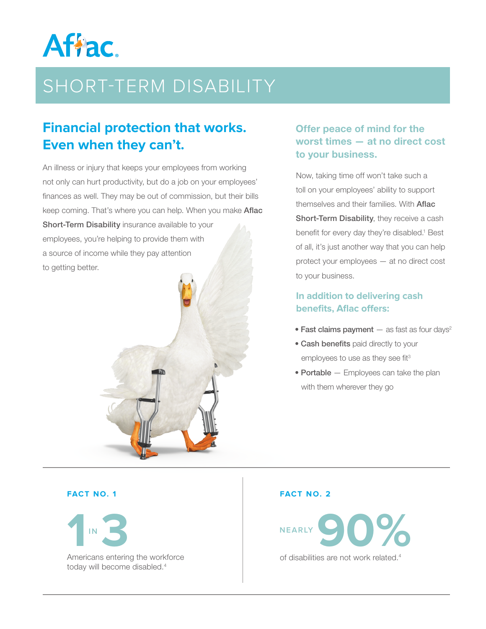

# SHORT-TERM DISABILITY

## **Financial protection that works. Even when they can't.**

An illness or injury that keeps your employees from working not only can hurt productivity, but do a job on your employees' finances as well. They may be out of commission, but their bills keep coming. That's where you can help. When you make **Aflac** 

Short-Term Disability insurance available to your employees, you're helping to provide them with a source of income while they pay attention to getting better.

### Offer peace of mind for the worst times — at no direct cost to your business.

Now, taking time off won't take such a toll on your employees' ability to support themselves and their families. With **Aflac** Short-Term Disability, they receive a cash benefit for every day they're disabled.<sup>1</sup> Best of all, it's just another way that you can help protect your employees — at no direct cost to your business.

### **In addition to delivering cash benefits, Aflac offers:**

- Fast claims payment  $-$  as fast as four days<sup>2</sup>
- Cash benefits paid directly to your employees to use as they see fit<sup>3</sup>
- Portable Employees can take the plan with them wherever they go

#### **FACT NO. 1**

**NEARLY 1IN 3** today will become disabled.4

#### **FACT NO. 2**